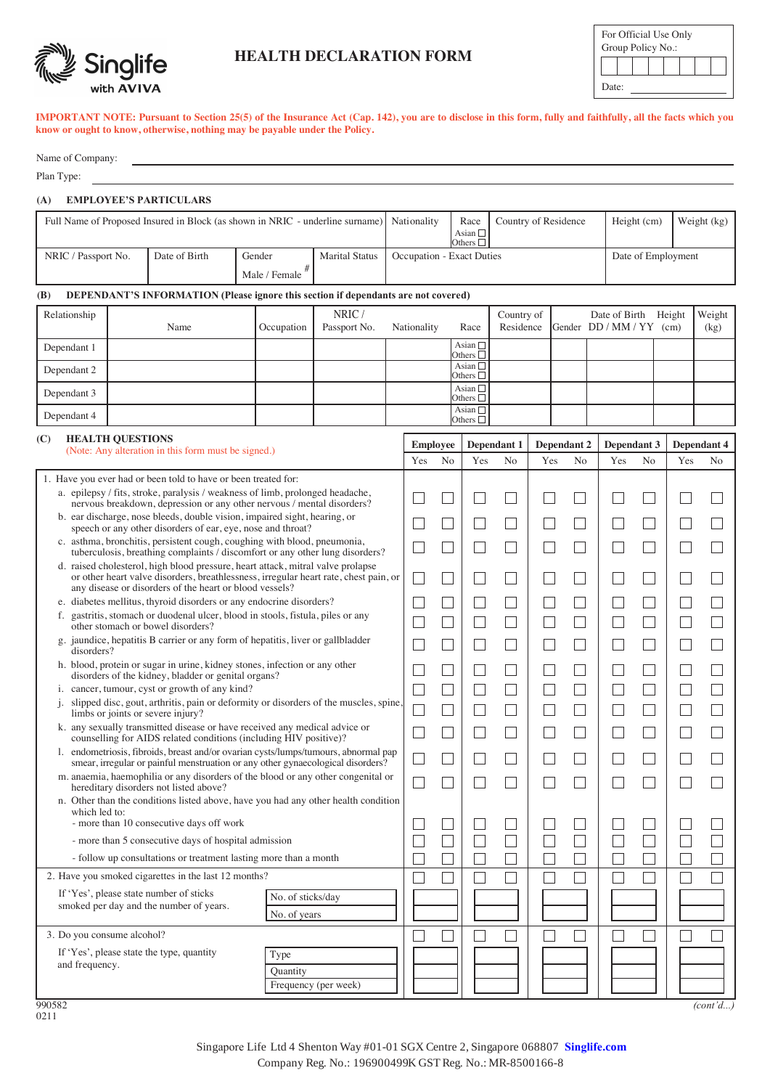

# **HEALTH DECLARATION FORM**

| For Official Use Only<br>Group Policy No.: |  |  |  |  |  |  |  |  |  |
|--------------------------------------------|--|--|--|--|--|--|--|--|--|
|                                            |  |  |  |  |  |  |  |  |  |
| Date:                                      |  |  |  |  |  |  |  |  |  |

**IMPORTANT NOTE: Pursuant to Section 25(5) of the Insurance Act (Cap. 142), you are to disclose in this form, fully and faithfully, all the facts which you know or ought to know, otherwise, nothing may be payable under the Policy.**

| Name of Company: |
|------------------|
|                  |

Plan Type:

### **(A) EMPLOYEE'S PARTICULARS**

| Full Name of Proposed Insured in Block (as shown in NRIC - underline surname) Nationality |               |               |                       |                                  | Race                             | Country of Residence | Height (cm) | Weight $(kg)$ |
|-------------------------------------------------------------------------------------------|---------------|---------------|-----------------------|----------------------------------|----------------------------------|----------------------|-------------|---------------|
|                                                                                           |               |               |                       |                                  | Asian $\Box$<br>Others $\square$ |                      |             |               |
| NRIC / Passport No.                                                                       | Date of Birth | Gender        | <b>Marital Status</b> | <b>Occupation - Exact Duties</b> |                                  | Date of Employment   |             |               |
|                                                                                           |               | Male / Female |                       |                                  |                                  |                      |             |               |

## **(B) DEPENDANT'S INFORMATION (Please ignore this section if dependants are not covered)**

| Relationship | Name | Occupation | NRIC/<br>Passport No. | Nationality | Race                                | Country of<br>Residence | Date of Birth Height<br>Gender DD / MM / YY (cm) | Weight<br>(kg) |
|--------------|------|------------|-----------------------|-------------|-------------------------------------|-------------------------|--------------------------------------------------|----------------|
| Dependant 1  |      |            |                       |             | Asian $\square$<br>Others $\square$ |                         |                                                  |                |
| Dependant 2  |      |            |                       |             | Asian $\square$<br>Others $\square$ |                         |                                                  |                |
| Dependant 3  |      |            |                       |             | Asian $\square$<br>Others $\square$ |                         |                                                  |                |
| Dependant 4  |      |            |                       |             | Asian $\square$<br>Others $\square$ |                         |                                                  |                |

| (C) | <b>HEALTH OUESTIONS</b><br>(Note: Any alteration in this form must be signed.)                                                                                                                                                     | <b>Employee</b> |                | Dependant 1 |                | Dependant 2 |                | Dependant 3 |                | Dependant 4 |                |
|-----|------------------------------------------------------------------------------------------------------------------------------------------------------------------------------------------------------------------------------------|-----------------|----------------|-------------|----------------|-------------|----------------|-------------|----------------|-------------|----------------|
|     |                                                                                                                                                                                                                                    | Yes             | N <sub>o</sub> | Yes         | N <sub>o</sub> | Yes         | N <sub>o</sub> | Yes         | N <sub>o</sub> | Yes         | N <sub>o</sub> |
|     | 1. Have you ever had or been told to have or been treated for:                                                                                                                                                                     |                 |                |             |                |             |                |             |                |             |                |
|     | a. epilepsy / fits, stroke, paralysis / weakness of limb, prolonged headache,<br>nervous breakdown, depression or any other nervous / mental disorders?                                                                            |                 |                |             |                |             |                |             |                |             |                |
|     | b. ear discharge, nose bleeds, double vision, impaired sight, hearing, or<br>speech or any other disorders of ear, eye, nose and throat?                                                                                           |                 |                |             |                |             |                |             |                |             |                |
|     | c. asthma, bronchitis, persistent cough, coughing with blood, pneumonia,<br>tuberculosis, breathing complaints / discomfort or any other lung disorders?                                                                           |                 |                |             |                |             |                |             |                |             |                |
|     | d. raised cholesterol, high blood pressure, heart attack, mitral valve prolapse<br>or other heart valve disorders, breathlessness, irregular heart rate, chest pain, or<br>any disease or disorders of the heart or blood vessels? |                 |                |             |                |             |                |             |                |             |                |
|     | e. diabetes mellitus, thyroid disorders or any endocrine disorders?                                                                                                                                                                |                 |                |             |                |             |                |             |                |             |                |
|     | f. gastritis, stomach or duodenal ulcer, blood in stools, fistula, piles or any<br>other stomach or bowel disorders?                                                                                                               |                 |                |             |                |             |                |             |                |             |                |
|     | g. jaundice, hepatitis B carrier or any form of hepatitis, liver or gallbladder<br>disorders?                                                                                                                                      |                 |                |             |                |             |                |             |                |             |                |
|     | h. blood, protein or sugar in urine, kidney stones, infection or any other<br>disorders of the kidney, bladder or genital organs?                                                                                                  |                 |                |             |                |             |                |             |                |             |                |
|     | i. cancer, tumour, cyst or growth of any kind?                                                                                                                                                                                     |                 |                |             |                |             |                |             |                |             |                |
|     | slipped disc, gout, arthritis, pain or deformity or disorders of the muscles, spine.<br>j.<br>limbs or joints or severe injury?                                                                                                    |                 |                |             |                |             |                |             |                |             |                |
|     | k. any sexually transmitted disease or have received any medical advice or<br>counselling for AIDS related conditions (including HIV positive)?                                                                                    |                 |                |             |                |             |                |             |                |             |                |
|     | 1. endometriosis, fibroids, breast and/or ovarian cysts/lumps/tumours, abnormal pap<br>smear, irregular or painful menstruation or any other gynaecological disorders?                                                             |                 |                |             |                |             |                |             |                |             |                |
|     | m. anaemia, haemophilia or any disorders of the blood or any other congenital or<br>hereditary disorders not listed above?                                                                                                         |                 |                |             |                |             |                |             |                |             |                |
|     | n. Other than the conditions listed above, have you had any other health condition                                                                                                                                                 |                 |                |             |                |             |                |             |                |             |                |
|     | which led to:<br>- more than 10 consecutive days off work                                                                                                                                                                          |                 |                |             |                |             |                |             |                |             |                |
|     | - more than 5 consecutive days of hospital admission                                                                                                                                                                               |                 |                |             |                |             |                |             |                |             |                |
|     | - follow up consultations or treatment lasting more than a month                                                                                                                                                                   |                 |                |             |                |             |                |             |                |             |                |
|     | 2. Have you smoked cigarettes in the last 12 months?                                                                                                                                                                               |                 |                |             |                |             |                |             |                |             |                |
|     | If 'Yes', please state number of sticks<br>No. of sticks/day                                                                                                                                                                       |                 |                |             |                |             |                |             |                |             |                |
|     | smoked per day and the number of years.<br>No. of years                                                                                                                                                                            |                 |                |             |                |             |                |             |                |             |                |
|     | 3. Do you consume alcohol?                                                                                                                                                                                                         |                 |                |             |                |             |                |             |                |             |                |
|     | If 'Yes', please state the type, quantity<br>Type                                                                                                                                                                                  |                 |                |             |                |             |                |             |                |             |                |
|     | and frequency.<br>Quantity                                                                                                                                                                                                         |                 |                |             |                |             |                |             |                |             |                |
|     | Frequency (per week)                                                                                                                                                                                                               |                 |                |             |                |             |                |             |                |             |                |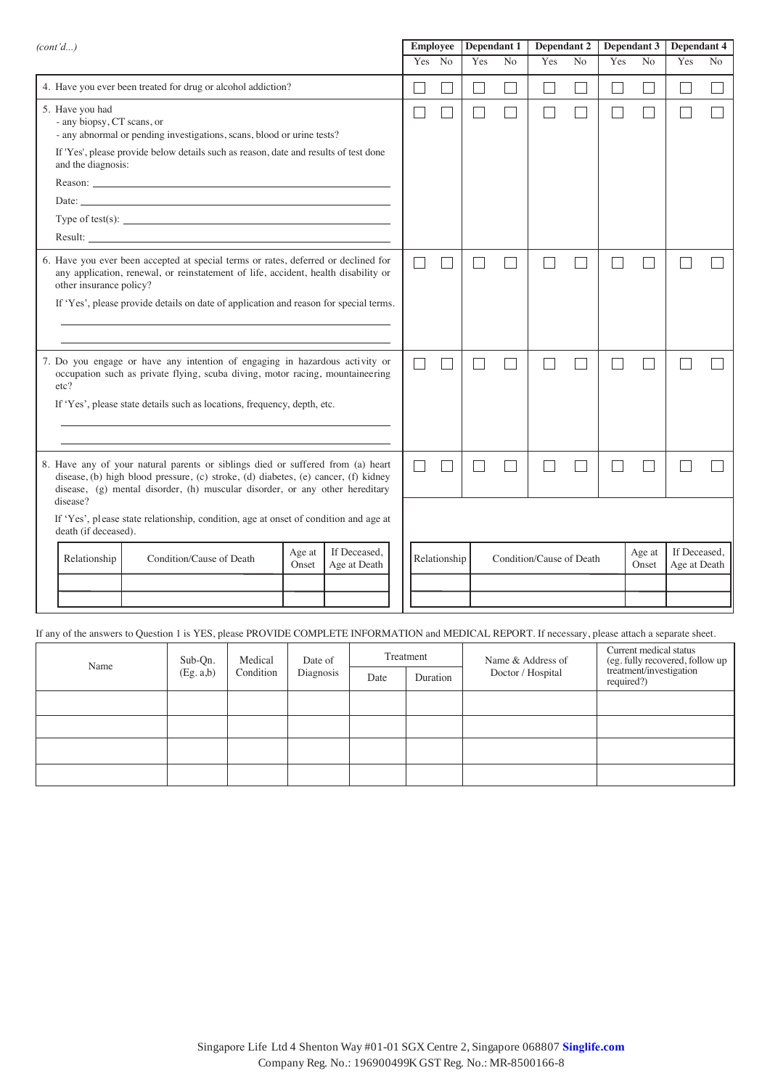| (cont'd)                                                                                                                                                                                                                                              |                                                                                                                         |                                                                                                                                                                                                                                                                                                  |  | <b>Employee</b> |              | Dependant 1 |     | Dependant 2    |                          | Dependant 3    |        | Dependant 4       |                              |                |
|-------------------------------------------------------------------------------------------------------------------------------------------------------------------------------------------------------------------------------------------------------|-------------------------------------------------------------------------------------------------------------------------|--------------------------------------------------------------------------------------------------------------------------------------------------------------------------------------------------------------------------------------------------------------------------------------------------|--|-----------------|--------------|-------------|-----|----------------|--------------------------|----------------|--------|-------------------|------------------------------|----------------|
|                                                                                                                                                                                                                                                       |                                                                                                                         |                                                                                                                                                                                                                                                                                                  |  |                 | Yes No       |             | Yes | N <sub>o</sub> | Yes                      | N <sub>o</sub> | Yes    | N <sub>o</sub>    | Yes                          | N <sub>o</sub> |
|                                                                                                                                                                                                                                                       |                                                                                                                         | 4. Have you ever been treated for drug or alcohol addiction?                                                                                                                                                                                                                                     |  |                 |              |             |     |                |                          |                | $\sim$ | $\vert \ \ \vert$ |                              |                |
|                                                                                                                                                                                                                                                       | 5. Have you had<br>- any biopsy, CT scans, or<br>- any abnormal or pending investigations, scans, blood or urine tests? |                                                                                                                                                                                                                                                                                                  |  |                 |              |             |     |                |                          |                |        |                   |                              |                |
|                                                                                                                                                                                                                                                       | and the diagnosis:                                                                                                      | If 'Yes', please provide below details such as reason, date and results of test done                                                                                                                                                                                                             |  |                 |              |             |     |                |                          |                |        |                   |                              |                |
|                                                                                                                                                                                                                                                       |                                                                                                                         | Reason: New York Contract the Contract of the Contract of the Contract of the Contract of the Contract of the Contract of the Contract of the Contract of the Contract of the Contract of the Contract of the Contract of the                                                                    |  |                 |              |             |     |                |                          |                |        |                   |                              |                |
|                                                                                                                                                                                                                                                       |                                                                                                                         | Date:                                                                                                                                                                                                                                                                                            |  |                 |              |             |     |                |                          |                |        |                   |                              |                |
|                                                                                                                                                                                                                                                       |                                                                                                                         | Type of test(s): $\frac{1}{2}$ = $\frac{1}{2}$ = $\frac{1}{2}$ = $\frac{1}{2}$ = $\frac{1}{2}$ = $\frac{1}{2}$ = $\frac{1}{2}$ = $\frac{1}{2}$ = $\frac{1}{2}$ = $\frac{1}{2}$ = $\frac{1}{2}$ = $\frac{1}{2}$ = $\frac{1}{2}$ = $\frac{1}{2}$ = $\frac{1}{2}$ = $\frac{1}{2}$ = $\frac{1}{2}$ = |  |                 |              |             |     |                |                          |                |        |                   |                              |                |
|                                                                                                                                                                                                                                                       |                                                                                                                         |                                                                                                                                                                                                                                                                                                  |  |                 |              |             |     |                |                          |                |        |                   |                              |                |
|                                                                                                                                                                                                                                                       | other insurance policy?                                                                                                 | 6. Have you ever been accepted at special terms or rates, deferred or declined for<br>any application, renewal, or reinstatement of life, accident, health disability or                                                                                                                         |  |                 |              |             |     |                |                          |                |        |                   |                              |                |
|                                                                                                                                                                                                                                                       |                                                                                                                         | If 'Yes', please provide details on date of application and reason for special terms.                                                                                                                                                                                                            |  |                 |              |             |     |                |                          |                |        |                   |                              |                |
|                                                                                                                                                                                                                                                       | etc?                                                                                                                    | 7. Do you engage or have any intention of engaging in hazardous activity or<br>occupation such as private flying, scuba diving, motor racing, mountaineering                                                                                                                                     |  |                 |              |             |     |                |                          |                |        |                   |                              |                |
|                                                                                                                                                                                                                                                       |                                                                                                                         | If 'Yes', please state details such as locations, frequency, depth, etc.                                                                                                                                                                                                                         |  |                 |              |             |     |                |                          |                |        |                   |                              |                |
|                                                                                                                                                                                                                                                       |                                                                                                                         |                                                                                                                                                                                                                                                                                                  |  |                 |              |             |     |                |                          |                |        |                   |                              |                |
| 8. Have any of your natural parents or siblings died or suffered from (a) heart<br>disease, (b) high blood pressure, (c) stroke, (d) diabetes, (e) cancer, (f) kidney<br>disease, (g) mental disorder, (h) muscular disorder, or any other hereditary |                                                                                                                         |                                                                                                                                                                                                                                                                                                  |  |                 |              |             |     |                |                          |                |        |                   |                              |                |
|                                                                                                                                                                                                                                                       | disease?<br>death (if deceased).                                                                                        | If 'Yes', please state relationship, condition, age at onset of condition and age at                                                                                                                                                                                                             |  |                 |              |             |     |                |                          |                |        |                   |                              |                |
|                                                                                                                                                                                                                                                       | If Deceased,<br>Age at<br>Condition/Cause of Death<br>Relationship<br>Age at Death<br>Onset                             |                                                                                                                                                                                                                                                                                                  |  |                 | Relationship |             |     |                | Condition/Cause of Death |                |        | Age at<br>Onset   | If Deceased,<br>Age at Death |                |
|                                                                                                                                                                                                                                                       |                                                                                                                         |                                                                                                                                                                                                                                                                                                  |  |                 |              |             |     |                |                          |                |        |                   |                              |                |
|                                                                                                                                                                                                                                                       |                                                                                                                         |                                                                                                                                                                                                                                                                                                  |  |                 |              |             |     |                |                          |                |        |                   |                              |                |
|                                                                                                                                                                                                                                                       |                                                                                                                         |                                                                                                                                                                                                                                                                                                  |  |                 |              |             |     |                |                          |                |        |                   |                              |                |

If any of the answers to Question 1 is YES, please PROVIDE COMPLETE INFORMATION and MEDICAL REPORT. If necessary, please attach a separate sheet.

| Name | Sub-Qn.  | Medical   | Date of   |                  | Treatment | Name & Address of | Current medical status<br>(eg. fully recovered, follow up<br>treatment/investigation |
|------|----------|-----------|-----------|------------------|-----------|-------------------|--------------------------------------------------------------------------------------|
|      | (Eg.a,b) | Condition | Diagnosis | Duration<br>Date |           | Doctor / Hospital | required?)                                                                           |
|      |          |           |           |                  |           |                   |                                                                                      |
|      |          |           |           |                  |           |                   |                                                                                      |
|      |          |           |           |                  |           |                   |                                                                                      |
|      |          |           |           |                  |           |                   |                                                                                      |

Company Reg. No.: 196900499K GST Reg. No.: MR-8500166-8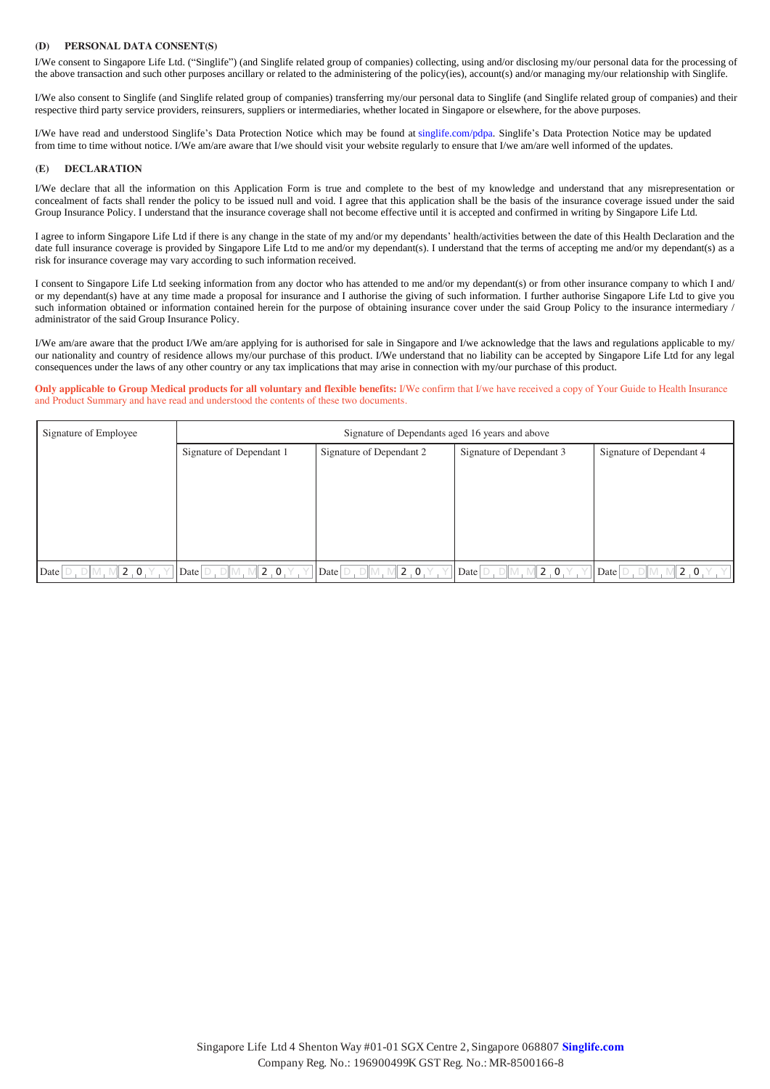### **(D) PERSONAL DATA CONSENT(S)**

 $\mu$  be consent to might of my dependent of my dependent of the administering of the policy second  $\mu$  and  $\mu$  consent to and/or measure personal data to the consent of consenting my/our personal data to the second or the above transaction and such other purposes ancillary or related to the administering of the policy(ies), account(s) and/or managing my/our relationship with Singlife. I/We consent to Singapore Life Ltd. ("Singlife") (and Singlife related group of companies) collecting, using and/or disclosing my/our personal data for the processing of

I/We also consent to Singlife (and Singlife related group of companies) transferring my/our personal data to Singlife (and Singlife related group of companies) and their respective third party service providers, reinsurers, suppliers or intermediaries, whether located in Singapore or elsewhere, for the above purposes.

I/We have read and understood Singlife's Data Protection Notice which may be found at singlife.com/pdpa. Singlife's Data Protection Notice may be updated from time to time without notice. I/We am/are aware that I/we should visit your website regularly to ensure that I/we am/are well informed of the updates.

#### **(E) DECLARATION**

I/We declare that all the information on this Application Form is true and complete to the best of my knowledge and understand that any misrepresentation or concealment of facts shall render the policy to be issued null and void. I agree that this application shall be the basis of the insurance coverage issued under the said Group Insurance Policy. I understand that the insurance coverage shall not become effective until it is accepted and confirmed in writing by Singapore Life Ltd.

I agree to inform Singapore Life Ltd if there is any change in the state of my and/or my dependants' health/activities between the date of this Health Declaration and the date full insurance coverage is provided by Singapore Life Ltd to me and/or my dependant(s). I understand that the terms of accepting me and/or my dependant(s) as a risk for insurance coverage may vary according to such information received.

I consent to Singapore Life Ltd seeking information from any doctor who has attended to me and/or my dependant(s) or from other insurance company to which I and/ or my dependant(s) have at any time made a proposal for insurance and I authorise the giving of such information. I further authorise Singapore Life Ltd to give you such information obtained or information contained herein for the purpose of obtaining insurance cover under the said Group Policy to the insurance intermediary / administrator of the said Group Insurance Policy.

I/We am/are aware that the product I/We am/are applying for is authorised for sale in Singapore and I/we acknowledge that the laws and regulations applicable to my/ our nationality and country of residence allows my/our purchase of this product. I/We understand that no liability can be accepted by Singapore Life Ltd for any legal consequences under the laws of any other country or any tax implications that may arise in connection with my/our purchase of this product.

Only applicable to Group Medical products for all voluntary and flexible benefits: I/We confirm that I/we have received a copy of Your Guide to Health Insurance and Product Summary and have read and understood the contents of these two documents.

| Signature of Employee   | Signature of Dependants aged 16 years and above            |                                |                                    |                             |  |  |  |  |  |  |  |
|-------------------------|------------------------------------------------------------|--------------------------------|------------------------------------|-----------------------------|--|--|--|--|--|--|--|
|                         | Signature of Dependant 1                                   | Signature of Dependant 2       | Signature of Dependant 3           | Signature of Dependant 4    |  |  |  |  |  |  |  |
|                         |                                                            |                                |                                    |                             |  |  |  |  |  |  |  |
|                         |                                                            |                                |                                    |                             |  |  |  |  |  |  |  |
|                         |                                                            |                                |                                    |                             |  |  |  |  |  |  |  |
|                         |                                                            |                                |                                    |                             |  |  |  |  |  |  |  |
|                         |                                                            |                                |                                    |                             |  |  |  |  |  |  |  |
| $ 2,0.1\rangle$<br>Date | $\parallel$ 2 , 0 , $\curlyvee$<br>Date $\Box$ , $\Box$ M, | 12.0.1<br>$Date$ $D, D$ $M, N$ | 2.0.1<br>Date $\Box$ $\Box$ $\Box$ | 2.0<br>$Date$ $D, D$ $M, N$ |  |  |  |  |  |  |  |